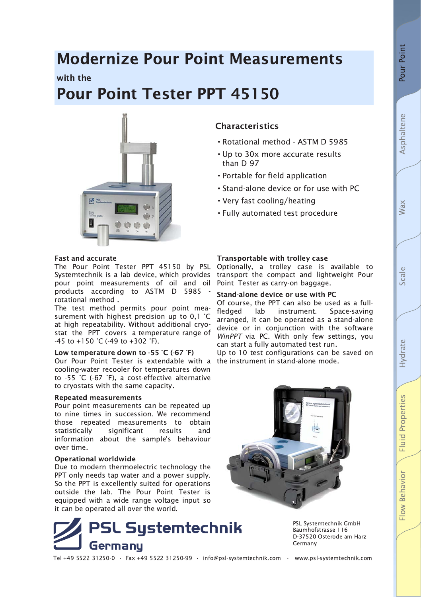# **Fluid Properties** Flow Behavior

## **Modernize Pour Point Measurements**

with the

# **Pour Point Tester PPT 45150**



## **Characteristics**

- Rotational method ASTM D 5985
- Up to 30x more accurate results than  $D$  97
- Portable for field application
- Stand-alone device or for use with PC
- Very fast cooling/heating
- Fully automated test procedure

#### **Fast and accurate**

The Pour Point Tester PPT 45150 by PSL Systemtechnik is a lab device, which provides pour point measurements of oil and oil products according to ASTM D 5985 rotational method.

The test method permits pour point measurement with highest precision up to 0.1 °C at high repeatability. Without additional cryostat the PPT covers a temperature range of -45 to +150 °C (-49 to +302 °F).

#### Low temperature down to  $-55$  °C ( $-67$  °F)

Our Pour Point Tester is extendable with a cooling-water recooler for temperatures down to -55 °C (-67 °F), a cost-effective alternative to cryostats with the same capacity.

#### **Repeated measurements**

Pour point measurements can be repeated up to nine times in succession. We recommend those repeated measurements to obtain results statistically significant and information about the sample's behaviour over time.

#### **Operational worldwide**

Due to modern thermoelectric technology the PPT only needs tap water and a power supply. So the PPT is excellently suited for operations outside the lab. The Pour Point Tester is equipped with a wide range voltage input so it can be operated all over the world.



PSL Systemtechnik GmbH Baumhofstrasse 116 D-37520 Osterode am Harz Germany

Tel +49 5522 31250-0 · Fax +49 5522 31250-99 · info@psl-systemtechnik.com · www.psl-systemtechnik.com

Transportable with trolley case

Optionally, a trolley case is available to transport the compact and lightweight Pour Point Tester as carry-on baggage.

#### Stand-alone device or use with PC

Of course, the PPT can also be used as a fullfledged lab instrument. Space-saving arranged, it can be operated as a stand-alone device or in conjunction with the software WinPPT via PC. With only few settings, you can start a fully automated test run.

Up to 10 test configurations can be saved on the instrument in stand-alone mode.